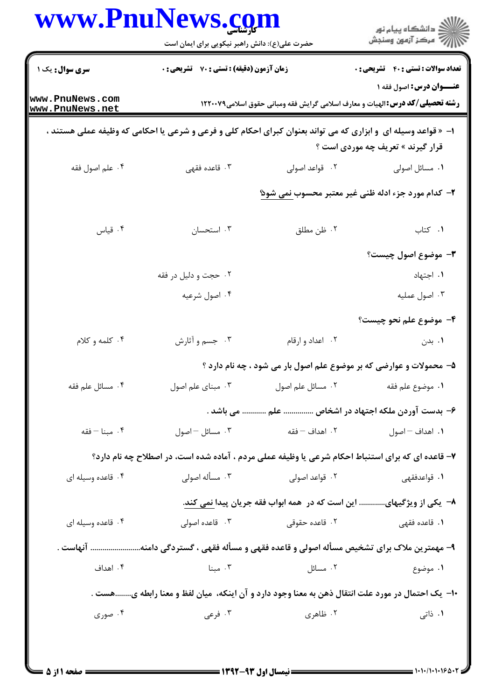|                                    | www.PnuNews.com<br>حضرت علی(ع): دانش راهبر نیکویی برای ایمان است                                               |                   | ڪ دانشڪاه پيام نور<br>7- مرڪز آزمون وسنڊش                                                                               |
|------------------------------------|----------------------------------------------------------------------------------------------------------------|-------------------|-------------------------------------------------------------------------------------------------------------------------|
| سری سوال: یک ۱                     | <b>زمان آزمون (دقیقه) : تستی : 70 قشریحی : 0</b>                                                               |                   | <b>تعداد سوالات : تستی : 40 ٪ تشریحی : 0</b>                                                                            |
| www.PnuNews.com<br>www.PnuNews.net |                                                                                                                |                   | <b>عنـــوان درس:</b> اصول فقه ۱<br><b>رشته تحصیلی/کد درس:</b> الهیات و معارف اسلامی گرایش فقه ومبانی حقوق اسلامی۱۲۲۰۰۷۹ |
|                                    | ا- « قواعد وسیله ای  و ابزاری که می تواند بعنوان کبرای احکام کلی و فرعی و شرعی یا احکامی که وظیفه عملی هستند ، |                   | قرار گیرند » تعریف چه موردی است ؟                                                                                       |
| ۰۴ علم اصول فقه                    | ۰۳ قاعده فقهی                                                                                                  | ۰۲ قواعد اصولی    | ٠١ مسائل اصولي                                                                                                          |
|                                    |                                                                                                                |                   | ۲- کدام مورد جزء ادله ظنی غیر معتبر محسوب <u>نمی شوئ</u>                                                                |
| ۰۴ قیاس                            | ۰۳ استحسان                                                                                                     | ٢. ظن مطلق        | ٠١ كتاب                                                                                                                 |
|                                    |                                                                                                                |                   | <b>۳</b> - موضوع اصول چیست؟                                                                                             |
|                                    | ۰۲ حجت و دلیل در فقه                                                                                           |                   | ٠١. اجتهاد                                                                                                              |
|                                    | ۰۴ اصول شرعيه                                                                                                  |                   | ۰۳ اصول عمليه                                                                                                           |
|                                    |                                                                                                                |                   | ۴- موضوع علم نحو چيست؟                                                                                                  |
| ۰۴ کلمه و کلام                     | ۰۳ جسم و أثارش                                                                                                 | ٠٢ اعداد و ارقام  | ۰۱ بدن                                                                                                                  |
|                                    |                                                                                                                |                   | ۵– محمولات و عوارضی که بر موضوع علم اصول بار می شود ، چه نام دارد ؟                                                     |
| ۰۴ مسائل علم فقه                   | ۰۳ مبنای علم اصول                                                                                              | ۰۲ مسائل علم اصول | ٠١. موضوع علم فقه                                                                                                       |
|                                    |                                                                                                                |                   | ۶– بدست آوردن ملکه اجتهاد در اشخاص  علم  می باشد .                                                                      |
| ۰۴ مبنا – فقه                      | ۰۳ مسائل – اصول                                                                                                | ۰۲ اهداف – فقه    | ٠١. اهداف – اصول                                                                                                        |
|                                    | ۷- قاعده ای که برای استنباط احکام شرعی یا وظیفه عملی مردم ، آماده شده است، در اصطلاح چه نام دارد؟              |                   |                                                                                                                         |
| ۰۴ قاعده وسیله ای                  | ۰۳ مسأله اصولى                                                                                                 | ۰۲ قواعد اصولی    | ۰۱ قواعدفقهی                                                                                                            |
|                                    |                                                                                                                |                   | ۸− یکی از ویژگیهای این است که در همه ابواب فقه جریان پیدا نمی کند.                                                      |
| ۰۴ قاعده وسیله ای                  | ۰۳ قاعده اصولی                                                                                                 | ۰۲ قاعده حقوقی    | <b>۱</b> . قاعده فقهی                                                                                                   |
|                                    | ۹- مهمترین ملاک برای تشخیص مسأله اصولی و قاعده فقهی و مسأله فقهی ، گستردگی دامنه آنهاست .                      |                   |                                                                                                                         |
| ۰۴ اهداف                           | ۰۳ مبنا                                                                                                        | ۰۲ مسائل          | ۰۱ موضوع                                                                                                                |
|                                    | ∙۱−  یک احتمال در مورد علت انتقال ذهن به معنا وجود دارد و آن اینکه،  میان لفظ و معنا رابطه یهست .              |                   |                                                                                                                         |
| ۰۴ صوری                            | ۰۳ فرعی                                                                                                        | ۰۲ ظاهری          | ۱. ذاتی                                                                                                                 |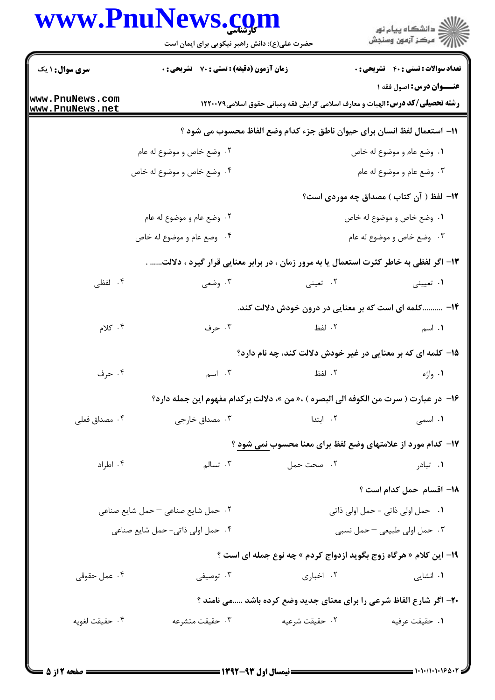## www.PnuNews.com

|                                    | WWW.Pnunews.co<br>حضرت علی(ع): دانش راهبر نیکویی برای ایمان است                        |                | ≦ دانشڪاه پيام نور<br>7- مرڪز آزمون وسنڊش                                                                             |
|------------------------------------|----------------------------------------------------------------------------------------|----------------|-----------------------------------------------------------------------------------------------------------------------|
| <b>سری سوال : ۱ یک</b>             | <b>زمان آزمون (دقیقه) : تستی : 70 قشریحی : 0</b>                                       |                | <b>تعداد سوالات : تستی : 40 ٪ تشریحی : 0</b>                                                                          |
| www.PnuNews.com<br>www.PnuNews.net | <b>رشته تحصیلی/کد درس: ا</b> لهیات و معارف اسلامی گرایش فقه ومبانی حقوق اسلامی۱۲۲۰۰۷۹  |                | <b>عنــوان درس:</b> اصول فقه ۱                                                                                        |
|                                    | 11- استعمال لفظ انسان براي حيوان ناطق جزء كدام وضع الفاظ محسوب مي شود ؟                |                |                                                                                                                       |
|                                    | ۰۲ وضع خاص و موضوع له عام                                                              |                | ۰۱ وضع عام و موضوع له خاص                                                                                             |
|                                    | ۰۴ وضع خاص و موضوع له خاص                                                              |                | ۰۳ وضع عام و موضوع له عام                                                                                             |
|                                    |                                                                                        |                | ۱۲– لفظ ( آن کتاب ) مصداق چه موردی است؟                                                                               |
|                                    | ۲. وضع عام و موضوع له عام                                                              |                | ۰۱ وضع خاص و موضوع له خاص                                                                                             |
|                                    | ۰۴ وضع عام و موضوع له خاص                                                              |                | ۰۳ وضع خاص و موضوع له عام                                                                                             |
|                                    | ۱۳- اگر لفظی به خاطر کثرت استعمال یا به مرور زمان ، در برابر معنایی قرار گیرد ، دلالت. |                |                                                                                                                       |
| ۰۴ لفظی                            | ۰۳ وضعی                                                                                | ۰۲ تعینی       | ۰۱ تعیینی                                                                                                             |
|                                    |                                                                                        |                | ۱۴– کلمه ای است که بر معنایی در درون خودش دلالت کند.                                                                  |
| ۰۴ کلام                            | ۰۳ حرف                                                                                 | ۲. لفظ         | ۰۱ اسم                                                                                                                |
|                                    |                                                                                        |                | ۱۵– کلمه ای که بر معنایی در غیر خودش دلالت کند، چه نام دارد؟                                                          |
| ۰۴ حرف                             | ۰۳ $_{1}$ اسم                                                                          | ۲. لفظ         | ۱. واژه                                                                                                               |
|                                    | 16- در عبارت ( سرت من الكوفه الى البصره ) ،« من »، دلالت بركدام مفهوم اين جمله دارد؟   |                |                                                                                                                       |
| ۰۴ مصداق فعلی                      | ۰۳ مصداق خارجی                                                                         | ۰۲ ابتدا       | <b>۱</b> . اسمی                                                                                                       |
|                                    |                                                                                        |                | ۱۷- کدام مورد از علامتهای وضع لفظ برای معنا محسوب نمی شود ؟                                                           |
| ۰۴ اطراد                           | ۰۳ تسالم                                                                               | ۰۲ صحت حمل     | ۰ <b>۱</b> تبادر میبارد و تاریخ تاریخ تاریخ برای تاریخ برای استفاده برای تاریخ برای استفاده برای تاریخ برای استفاده ب |
|                                    |                                                                                        |                | ١٨- اقسام حمل كدام است ؟                                                                                              |
|                                    | ۰۲ حمل شایع صناعی - حمل شایع صناعی                                                     |                | ٠١ حمل اولى ذاتى - حمل اولى ذاتى                                                                                      |
|                                    | ۰۴ حمل اولی ذاتی- حمل شایع صناعی                                                       |                | ۰۳ حمل اولی طبیعی -حمل نسبی                                                                                           |
|                                    |                                                                                        |                | ۱۹- این کلام « هرگاه زوج بگوید ازدواج کردم » چه نوع جمله ای است ؟                                                     |
| ۰۴ عمل حقوقی                       | ۰۳ توصیفی                                                                              | ۰۲ اخباری      | ۰۱ انشایی                                                                                                             |
|                                    | ۲۰- اگر شارع الفاظ شرعی را برای معنای جدید وضع کرده باشد می نامند ؟                    |                |                                                                                                                       |
| ۰۴ حقيقت لغويه                     | ۰۳ حقیقت متشرعه                                                                        | ۰۲ حقیقت شرعیه | ٠١. حقيقت عرفيه                                                                                                       |
|                                    |                                                                                        |                |                                                                                                                       |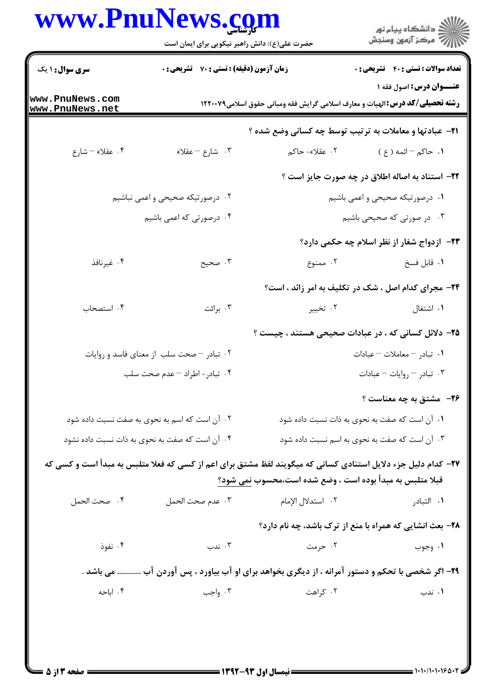## www.PnuNews.com

| www.PnuNews.com                    | حضرت علی(ع): دانش راهبر نیکویی برای ایمان است                                                                |                                                                                       | ڪ دانشڪاه پيام نور<br>//> مرڪز آزمون وسنجش         |
|------------------------------------|--------------------------------------------------------------------------------------------------------------|---------------------------------------------------------------------------------------|----------------------------------------------------|
| <b>سری سوال : ۱ یک</b>             | <b>زمان آزمون (دقیقه) : تستی : 70 قشریحی : 0</b>                                                             |                                                                                       | <b>تعداد سوالات : تستی : 40 - تشریحی : 0</b>       |
| www.PnuNews.com<br>www.PnuNews.net |                                                                                                              | <b>رشته تحصیلی/کد درس: ا</b> لهیات و معارف اسلامی گرایش فقه ومبانی حقوق اسلامی۱۲۲۰۰۷۹ | عنــوان درس: اصول فقه ۱                            |
|                                    |                                                                                                              | <b>۲۱</b> - عبادتها و معاملات به ترتیب توسط چه کسانی وضع شده ؟                        |                                                    |
| ۰۴ عقلاء – شارع                    | ۰۳ شارع – عقلاء                                                                                              | ۲. عقلاء- حاکم                                                                        | ۱. حاکم <sup>— ا</sup> ئمه ( ع )                   |
|                                    |                                                                                                              |                                                                                       | ۲۲- استناد به اصاله اطلاق در چه صورت جایز است ؟    |
|                                    | ۰۲ درصورتیکه صحیحی و اعمی نباشیم                                                                             |                                                                                       | ۰۱ درصورتیکه صحیحی و اعمی باشیم                    |
|                                    | ۰۴ درصورتی که اعمی باشیم                                                                                     |                                                                                       | ۰۳ در صورتی که صحیحی باشیم                         |
|                                    |                                                                                                              |                                                                                       | <b>۲۳</b> - ازدواج شغار از نظر اسلام چه حکمی دارد؟ |
| ۰۴ غیرنافذ                         | ۰۳ صحيح                                                                                                      | ۲. ممنوع                                                                              | ٠١ قابل فسخ                                        |
|                                    |                                                                                                              | <b>۲۴</b> - مجرای کدام اصل ، شک در تکلیف به امر زائد ، است؟                           |                                                    |
| ۰۴ استصحاب                         | ۰۳ برائت                                                                                                     | ۰۲ تخییر                                                                              | ۰۱ اشتغال                                          |
|                                    |                                                                                                              | ۲۵– دلائل کسانی که ، در عبادات صحیحی هستند ، چیست ؟                                   |                                                    |
|                                    | ۰۲ تبادر - صحت سلب از معنای فاسد و روایات                                                                    |                                                                                       | 1. تبادر – معاملات – عبادات                        |
|                                    | ۰۴ تبادر - اطراد – عدم صحت سلب                                                                               |                                                                                       | ۰۳ تبادر – روایات – عبادات                         |
|                                    |                                                                                                              |                                                                                       | ۲۶- مشتق به چه معناست ؟                            |
|                                    | ۰۲ آن است که اسم به نحوی به صفت نسبت داده شود                                                                | ۰۱ آن است که صفت به نحوی به ذات نسبت داده شود                                         |                                                    |
|                                    | ۰۴ آن است که صفت به نحوی به ذات نسبت داده نشود                                                               |                                                                                       | ۰۳ آن است که صفت به نحوی به اسم نسبت داده شود      |
|                                    | ۲۷– کدام دلیل جزء دلایل استنادی کسانی که میگویند لفظ مشتق برای اعم از کسی که فعلا متلبس به مبدأ است و کسی که |                                                                                       |                                                    |
|                                    |                                                                                                              | قبلا متلبس به مبدأ بوده است ، وضع شده است،محسوب نمی شود؟                              |                                                    |
| ۰۴ صحت الحمل                       | ٠٣ عدم صحت الحمل                                                                                             | ٢. استدلال الإمام                                                                     | ۰۱ التبادر                                         |
|                                    |                                                                                                              | ۲۸- بعث انشایی که همراه با منع از ترک باشد، چه نام دارد؟                              |                                                    |
| ۰۴ نفوذ                            | ۰۳ ندب                                                                                                       | ۰۲ حرمت                                                                               | ۰۱ وجوب                                            |
|                                    | ۲۹- اگر شخصی با تحکم و دستور آمرانه ، از دیگری بخواهد برای او آب بیاورد ، پس آوردن آب  می باشد .             |                                                                                       |                                                    |
| ۰۴ اباحه                           | ۰۳ واجب                                                                                                      | ۰۲ کراهت                                                                              | ۰۱ ندب                                             |
|                                    |                                                                                                              |                                                                                       |                                                    |
|                                    |                                                                                                              |                                                                                       |                                                    |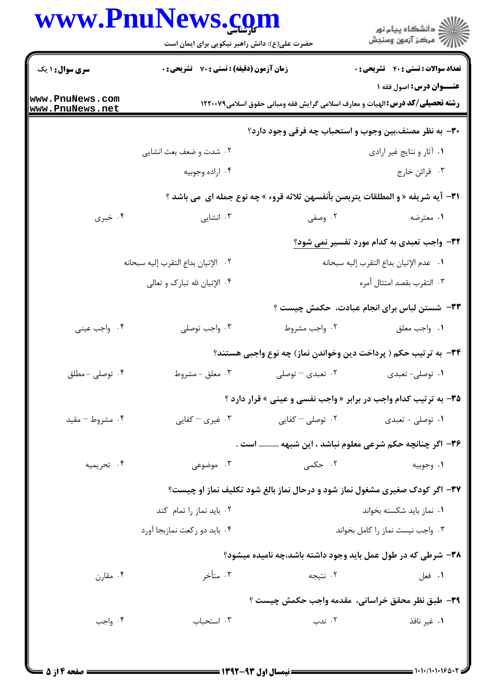## WWW PnuNows com

| ڏ دانشڪاه پيام نور<br>7- مرڪز آزمون وسنڊش                                                                                | کارشناسی         | حضرت علی(ع): دانش راهبر نیکویی برای ایمان است | WWW.FII                            |
|--------------------------------------------------------------------------------------------------------------------------|------------------|-----------------------------------------------|------------------------------------|
| <b>تعداد سوالات : تستی : 40 - تشریحی : 0</b>                                                                             |                  | زمان آزمون (دقیقه) : تستی : 70 ٪ تشریحی : 0   | <b>سری سوال : ۱ یک</b>             |
| <b>عنـــوان درس:</b> اصول فقه ۱<br><b>رشته تحصیلی/کد درس: ا</b> لهیات و معارف اسلامی گرایش فقه ومبانی حقوق اسلامی۱۲۲۰۰۷۹ |                  |                                               | www.PnuNews.com<br>www.PnuNews.net |
| ۳۰- به نظر مصنف،بین وجوب و استحباب چه فرقی وجود دارد؟                                                                    |                  |                                               |                                    |
| ٠١. أثار و نتايج غير ارادي                                                                                               |                  | ۰۲ شدت و ضعف بعث انشایی                       |                                    |
| ۰۳ قرائن خارج                                                                                                            |                  | ۰۴ اراده وجوبيه                               |                                    |
| ٣١- آيه شريفه « و المطلقات يتربصن بأنفسهن ثلاثه قروء » چه نوع جمله اي  مي باشد ؟                                         |                  |                                               |                                    |
| ۱. معترضه                                                                                                                | ۰۲ وصفی          | ۰۳ انشایی                                     | ۰۴ خبری                            |
| <b>۳۲-</b> واجب تعبدی به کدام مورد تفسیر نمی شود؟                                                                        |                  |                                               |                                    |
| ٠١ عدم الإتيان بداع التقرب إليه سبحانه                                                                                   |                  | ٢. الإتيان بداع التقرب إليه سبحانه            |                                    |
| ٠٣ التقرب بقصد امتثال أمره                                                                                               |                  | ۰۴ الإتيان لله تبارک و تعالى                  |                                    |
| ۳۳– شستن لباس برای انجام عبادت، حکمش چیست ؟                                                                              |                  |                                               |                                    |
| ٠١. واجب معلق                                                                                                            | ۰۲ واجب مشروط    | ۰۳ واجب توصلي                                 | ۰۴ واجب عيني                       |
| ۳۴– به ترتیب حکم ( پرداخت دین وخواندن نماز) چه نوع واجبی هستند؟                                                          |                  |                                               |                                    |
| ۰۱ توصلي- تعبدي                                                                                                          | ۰۲ تعبدی – توصلی | ۰۳ معلق - مشروط                               | ۰۴ توصلی - مطلق                    |
| <b>۳۵-</b> به ترتیب کدام واجب در برابر « واجب نفسی و عینی » قرار دارد ؟                                                  |                  |                                               |                                    |
| ۰۱ توصلي - تعبدي                                                                                                         | ۰۲ توصلی – کفایی | ۰۳ غیری – کفایی                               | ۰۴ مشروط – مقید                    |
| ۳۶- اگر چنانچه حکم شرعی معلوم نباشد ، این شبهه  است .                                                                    |                  |                                               |                                    |
| ۰۱ وجوبيه                                                                                                                | ۲. حکمی          | ۰۳ موضوعی                                     | ۰۴ تحريميه                         |
| 37- اگر کودک صغیری مشغول نماز شود و درحال نماز بالغ شود تکلیف نماز او چیست؟                                              |                  |                                               |                                    |
| ۰۱ نماز باید شکسته بخواند                                                                                                |                  | ۰۲ باید نماز را تمام کند                      |                                    |
| ۰۳ واجب نيست نماز را كامل بخواند                                                                                         |                  | ۰۴ باید دو رکعت نمازبجا آورد                  |                                    |
| ۳۸- شرطی که در طول عمل باید وجود داشته باشد،چه نامیده میشود؟                                                             |                  |                                               |                                    |
| ٠١ فعل                                                                                                                   | ۰۲ نتيجه         | ۰۳ متأخر                                      | ۰۴ مقارن                           |
| ٣٩- طبق نظر محقق خراساني، مقدمه واجب حكمش چيست ؟                                                                         |                  |                                               |                                    |
| ۰۱ غیر نافذ                                                                                                              | ۰۲ ندب           | ۰۳ استحباب                                    | ۰۴ واجب                            |
|                                                                                                                          |                  |                                               |                                    |
|                                                                                                                          |                  |                                               |                                    |